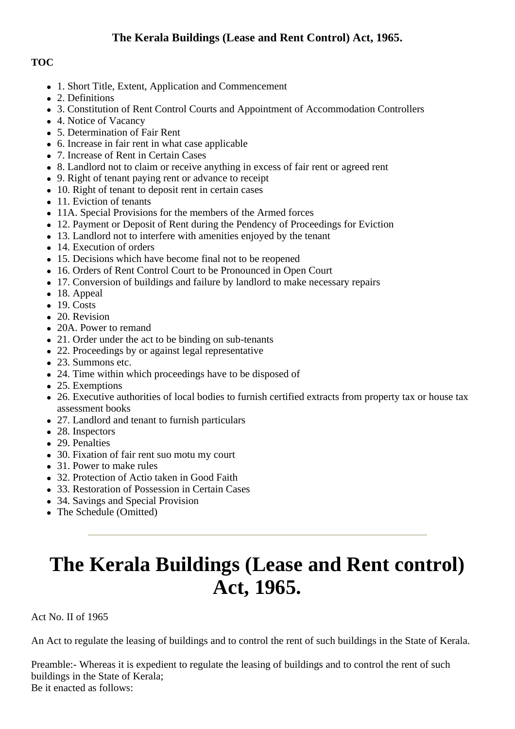# **TOC**

- 1. Short Title, Extent, Application and Commencement
- 2. Definitions
- 3. Constitution of Rent Control Courts and Appointment of Accommodation Controllers
- 4. Notice of Vacancy
- 5. Determination of Fair Rent
- 6. Increase in fair rent in what case applicable
- 7. Increase of Rent in Certain Cases
- 8. Landlord not to claim or receive anything in excess of fair rent or agreed rent
- 9. Right of tenant paying rent or advance to receipt
- 10. Right of tenant to deposit rent in certain cases
- 11. Eviction of tenants
- 11A. Special Provisions for the members of the Armed forces
- 12. Payment or Deposit of Rent during the Pendency of Proceedings for Eviction
- 13. Landlord not to interfere with amenities enjoyed by the tenant
- 14. Execution of orders
- 15. Decisions which have become final not to be reopened
- 16. Orders of Rent Control Court to be Pronounced in Open Court
- 17. Conversion of buildings and failure by landlord to make necessary repairs
- 18. Appeal
- $-19$ . Costs
- 20. Revision
- 20A. Power to remand
- 21. Order under the act to be binding on sub-tenants
- 22. Proceedings by or against legal representative
- 23. Summons etc.
- 24. Time within which proceedings have to be disposed of
- 25. Exemptions
- 26. Executive authorities of local bodies to furnish certified extracts from property tax or house tax assessment books
- 27. Landlord and tenant to furnish particulars
- 28. Inspectors
- 29. Penalties
- 30. Fixation of fair rent suo motu my court
- 31. Power to make rules
- 32. Protection of Actio taken in Good Faith
- 33. Restoration of Possession in Certain Cases
- 34. Savings and Special Provision
- The Schedule (Omitted)

# **The Kerala Buildings (Lease and Rent control) Act, 1965.**

Act No. II of 1965

An Act to regulate the leasing of buildings and to control the rent of such buildings in the State of Kerala.

Preamble:- Whereas it is expedient to regulate the leasing of buildings and to control the rent of such buildings in the State of Kerala; Be it enacted as follows: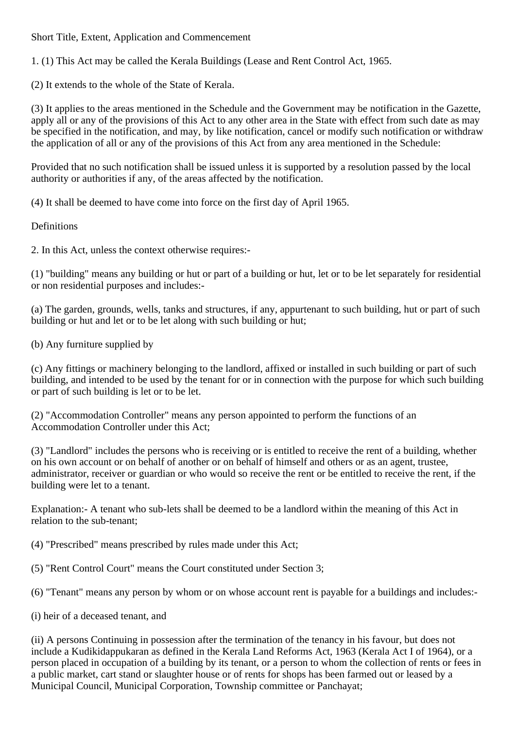Short Title, Extent, Application and Commencement

1. (1) This Act may be called the Kerala Buildings (Lease and Rent Control Act, 1965.

(2) It extends to the whole of the State of Kerala.

(3) It applies to the areas mentioned in the Schedule and the Government may be notification in the Gazette, apply all or any of the provisions of this Act to any other area in the State with effect from such date as may be specified in the notification, and may, by like notification, cancel or modify such notification or withdraw the application of all or any of the provisions of this Act from any area mentioned in the Schedule:

Provided that no such notification shall be issued unless it is supported by a resolution passed by the local authority or authorities if any, of the areas affected by the notification.

(4) It shall be deemed to have come into force on the first day of April 1965.

#### **Definitions**

2. In this Act, unless the context otherwise requires:-

(1) "building" means any building or hut or part of a building or hut, let or to be let separately for residential or non residential purposes and includes:-

(a) The garden, grounds, wells, tanks and structures, if any, appurtenant to such building, hut or part of such building or hut and let or to be let along with such building or hut;

(b) Any furniture supplied by

(c) Any fittings or machinery belonging to the landlord, affixed or installed in such building or part of such building, and intended to be used by the tenant for or in connection with the purpose for which such building or part of such building is let or to be let.

(2) "Accommodation Controller" means any person appointed to perform the functions of an Accommodation Controller under this Act;

(3) "Landlord" includes the persons who is receiving or is entitled to receive the rent of a building, whether on his own account or on behalf of another or on behalf of himself and others or as an agent, trustee, administrator, receiver or guardian or who would so receive the rent or be entitled to receive the rent, if the building were let to a tenant.

Explanation:- A tenant who sub-lets shall be deemed to be a landlord within the meaning of this Act in relation to the sub-tenant;

(4) "Prescribed" means prescribed by rules made under this Act;

(5) "Rent Control Court" means the Court constituted under Section 3;

(6) "Tenant" means any person by whom or on whose account rent is payable for a buildings and includes:-

(i) heir of a deceased tenant, and

(ii) A persons Continuing in possession after the termination of the tenancy in his favour, but does not include a Kudikidappukaran as defined in the Kerala Land Reforms Act, 1963 (Kerala Act I of 1964), or a person placed in occupation of a building by its tenant, or a person to whom the collection of rents or fees in a public market, cart stand or slaughter house or of rents for shops has been farmed out or leased by a Municipal Council, Municipal Corporation, Township committee or Panchayat;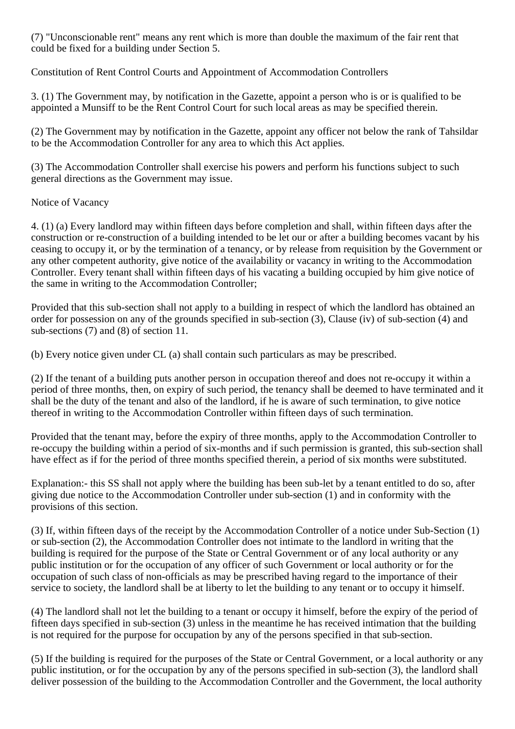(7) "Unconscionable rent" means any rent which is more than double the maximum of the fair rent that could be fixed for a building under Section 5.

Constitution of Rent Control Courts and Appointment of Accommodation Controllers

3. (1) The Government may, by notification in the Gazette, appoint a person who is or is qualified to be appointed a Munsiff to be the Rent Control Court for such local areas as may be specified therein.

(2) The Government may by notification in the Gazette, appoint any officer not below the rank of Tahsildar to be the Accommodation Controller for any area to which this Act applies.

(3) The Accommodation Controller shall exercise his powers and perform his functions subject to such general directions as the Government may issue.

## Notice of Vacancy

4. (1) (a) Every landlord may within fifteen days before completion and shall, within fifteen days after the construction or re-construction of a building intended to be let our or after a building becomes vacant by his ceasing to occupy it, or by the termination of a tenancy, or by release from requisition by the Government or any other competent authority, give notice of the availability or vacancy in writing to the Accommodation Controller. Every tenant shall within fifteen days of his vacating a building occupied by him give notice of the same in writing to the Accommodation Controller;

Provided that this sub-section shall not apply to a building in respect of which the landlord has obtained an order for possession on any of the grounds specified in sub-section (3), Clause (iv) of sub-section (4) and sub-sections (7) and (8) of section 11.

(b) Every notice given under CL (a) shall contain such particulars as may be prescribed.

(2) If the tenant of a building puts another person in occupation thereof and does not re-occupy it within a period of three months, then, on expiry of such period, the tenancy shall be deemed to have terminated and it shall be the duty of the tenant and also of the landlord, if he is aware of such termination, to give notice thereof in writing to the Accommodation Controller within fifteen days of such termination.

Provided that the tenant may, before the expiry of three months, apply to the Accommodation Controller to re-occupy the building within a period of six-months and if such permission is granted, this sub-section shall have effect as if for the period of three months specified therein, a period of six months were substituted.

Explanation:- this SS shall not apply where the building has been sub-let by a tenant entitled to do so, after giving due notice to the Accommodation Controller under sub-section (1) and in conformity with the provisions of this section.

(3) If, within fifteen days of the receipt by the Accommodation Controller of a notice under Sub-Section (1) or sub-section (2), the Accommodation Controller does not intimate to the landlord in writing that the building is required for the purpose of the State or Central Government or of any local authority or any public institution or for the occupation of any officer of such Government or local authority or for the occupation of such class of non-officials as may be prescribed having regard to the importance of their service to society, the landlord shall be at liberty to let the building to any tenant or to occupy it himself.

(4) The landlord shall not let the building to a tenant or occupy it himself, before the expiry of the period of fifteen days specified in sub-section (3) unless in the meantime he has received intimation that the building is not required for the purpose for occupation by any of the persons specified in that sub-section.

(5) If the building is required for the purposes of the State or Central Government, or a local authority or any public institution, or for the occupation by any of the persons specified in sub-section (3), the landlord shall deliver possession of the building to the Accommodation Controller and the Government, the local authority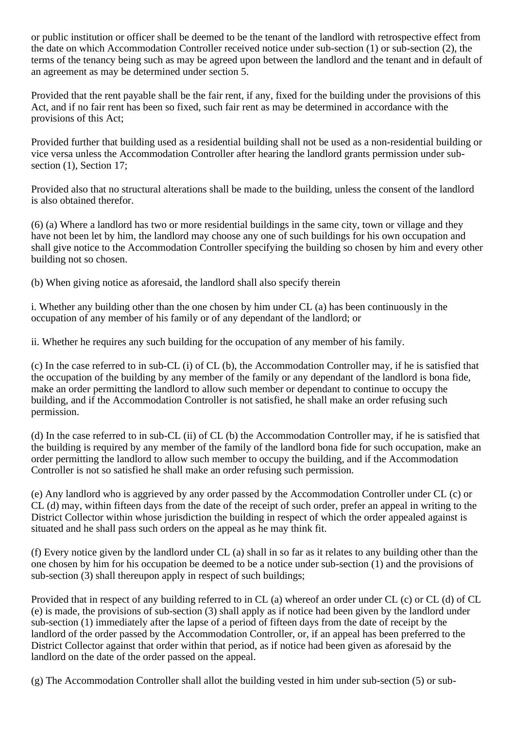or public institution or officer shall be deemed to be the tenant of the landlord with retrospective effect from the date on which Accommodation Controller received notice under sub-section (1) or sub-section (2), the terms of the tenancy being such as may be agreed upon between the landlord and the tenant and in default of an agreement as may be determined under section 5.

Provided that the rent payable shall be the fair rent, if any, fixed for the building under the provisions of this Act, and if no fair rent has been so fixed, such fair rent as may be determined in accordance with the provisions of this Act;

Provided further that building used as a residential building shall not be used as a non-residential building or vice versa unless the Accommodation Controller after hearing the landlord grants permission under subsection  $(1)$ , Section 17;

Provided also that no structural alterations shall be made to the building, unless the consent of the landlord is also obtained therefor.

(6) (a) Where a landlord has two or more residential buildings in the same city, town or village and they have not been let by him, the landlord may choose any one of such buildings for his own occupation and shall give notice to the Accommodation Controller specifying the building so chosen by him and every other building not so chosen.

(b) When giving notice as aforesaid, the landlord shall also specify therein

i. Whether any building other than the one chosen by him under CL (a) has been continuously in the occupation of any member of his family or of any dependant of the landlord; or

ii. Whether he requires any such building for the occupation of any member of his family.

(c) In the case referred to in sub-CL (i) of CL (b), the Accommodation Controller may, if he is satisfied that the occupation of the building by any member of the family or any dependant of the landlord is bona fide, make an order permitting the landlord to allow such member or dependant to continue to occupy the building, and if the Accommodation Controller is not satisfied, he shall make an order refusing such permission.

(d) In the case referred to in sub-CL (ii) of CL (b) the Accommodation Controller may, if he is satisfied that the building is required by any member of the family of the landlord bona fide for such occupation, make an order permitting the landlord to allow such member to occupy the building, and if the Accommodation Controller is not so satisfied he shall make an order refusing such permission.

(e) Any landlord who is aggrieved by any order passed by the Accommodation Controller under CL (c) or CL (d) may, within fifteen days from the date of the receipt of such order, prefer an appeal in writing to the District Collector within whose jurisdiction the building in respect of which the order appealed against is situated and he shall pass such orders on the appeal as he may think fit.

(f) Every notice given by the landlord under CL (a) shall in so far as it relates to any building other than the one chosen by him for his occupation be deemed to be a notice under sub-section (1) and the provisions of sub-section (3) shall thereupon apply in respect of such buildings;

Provided that in respect of any building referred to in CL (a) whereof an order under CL (c) or CL (d) of CL (e) is made, the provisions of sub-section (3) shall apply as if notice had been given by the landlord under sub-section (1) immediately after the lapse of a period of fifteen days from the date of receipt by the landlord of the order passed by the Accommodation Controller, or, if an appeal has been preferred to the District Collector against that order within that period, as if notice had been given as aforesaid by the landlord on the date of the order passed on the appeal.

(g) The Accommodation Controller shall allot the building vested in him under sub-section (5) or sub-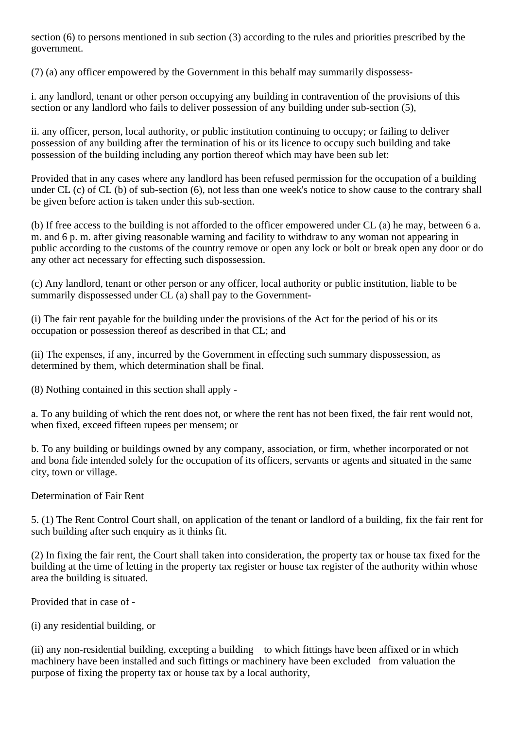section (6) to persons mentioned in sub section (3) according to the rules and priorities prescribed by the government.

(7) (a) any officer empowered by the Government in this behalf may summarily dispossess-

i. any landlord, tenant or other person occupying any building in contravention of the provisions of this section or any landlord who fails to deliver possession of any building under sub-section (5),

ii. any officer, person, local authority, or public institution continuing to occupy; or failing to deliver possession of any building after the termination of his or its licence to occupy such building and take possession of the building including any portion thereof which may have been sub let:

Provided that in any cases where any landlord has been refused permission for the occupation of a building under CL (c) of CL (b) of sub-section (6), not less than one week's notice to show cause to the contrary shall be given before action is taken under this sub-section.

(b) If free access to the building is not afforded to the officer empowered under CL (a) he may, between 6 a. m. and 6 p. m. after giving reasonable warning and facility to withdraw to any woman not appearing in public according to the customs of the country remove or open any lock or bolt or break open any door or do any other act necessary for effecting such dispossession.

(c) Any landlord, tenant or other person or any officer, local authority or public institution, liable to be summarily dispossessed under CL (a) shall pay to the Government-

(i) The fair rent payable for the building under the provisions of the Act for the period of his or its occupation or possession thereof as described in that CL; and

(ii) The expenses, if any, incurred by the Government in effecting such summary dispossession, as determined by them, which determination shall be final.

(8) Nothing contained in this section shall apply -

a. To any building of which the rent does not, or where the rent has not been fixed, the fair rent would not, when fixed, exceed fifteen rupees per mensem; or

b. To any building or buildings owned by any company, association, or firm, whether incorporated or not and bona fide intended solely for the occupation of its officers, servants or agents and situated in the same city, town or village.

## Determination of Fair Rent

5. (1) The Rent Control Court shall, on application of the tenant or landlord of a building, fix the fair rent for such building after such enquiry as it thinks fit.

(2) In fixing the fair rent, the Court shall taken into consideration, the property tax or house tax fixed for the building at the time of letting in the property tax register or house tax register of the authority within whose area the building is situated.

Provided that in case of -

(i) any residential building, or

(ii) any non-residential building, excepting a building to which fittings have been affixed or in which machinery have been installed and such fittings or machinery have been excluded from valuation the purpose of fixing the property tax or house tax by a local authority,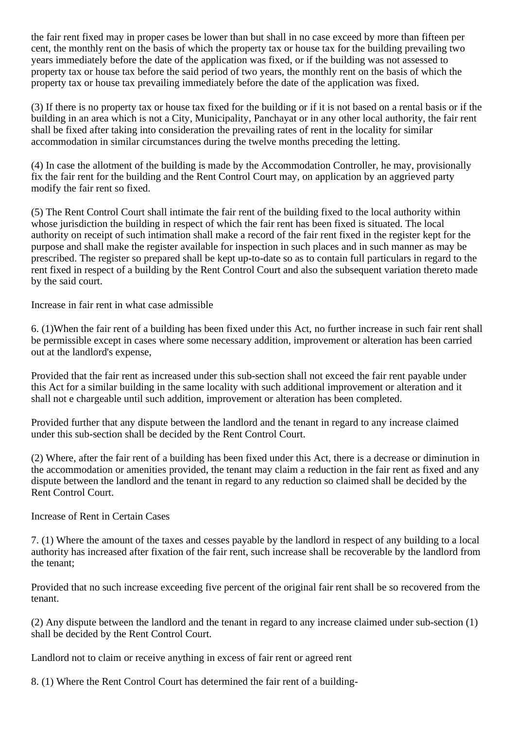the fair rent fixed may in proper cases be lower than but shall in no case exceed by more than fifteen per cent, the monthly rent on the basis of which the property tax or house tax for the building prevailing two years immediately before the date of the application was fixed, or if the building was not assessed to property tax or house tax before the said period of two years, the monthly rent on the basis of which the property tax or house tax prevailing immediately before the date of the application was fixed.

(3) If there is no property tax or house tax fixed for the building or if it is not based on a rental basis or if the building in an area which is not a City, Municipality, Panchayat or in any other local authority, the fair rent shall be fixed after taking into consideration the prevailing rates of rent in the locality for similar accommodation in similar circumstances during the twelve months preceding the letting.

(4) In case the allotment of the building is made by the Accommodation Controller, he may, provisionally fix the fair rent for the building and the Rent Control Court may, on application by an aggrieved party modify the fair rent so fixed.

(5) The Rent Control Court shall intimate the fair rent of the building fixed to the local authority within whose jurisdiction the building in respect of which the fair rent has been fixed is situated. The local authority on receipt of such intimation shall make a record of the fair rent fixed in the register kept for the purpose and shall make the register available for inspection in such places and in such manner as may be prescribed. The register so prepared shall be kept up-to-date so as to contain full particulars in regard to the rent fixed in respect of a building by the Rent Control Court and also the subsequent variation thereto made by the said court.

Increase in fair rent in what case admissible

6. (1)When the fair rent of a building has been fixed under this Act, no further increase in such fair rent shall be permissible except in cases where some necessary addition, improvement or alteration has been carried out at the landlord's expense,

Provided that the fair rent as increased under this sub-section shall not exceed the fair rent payable under this Act for a similar building in the same locality with such additional improvement or alteration and it shall not e chargeable until such addition, improvement or alteration has been completed.

Provided further that any dispute between the landlord and the tenant in regard to any increase claimed under this sub-section shall be decided by the Rent Control Court.

(2) Where, after the fair rent of a building has been fixed under this Act, there is a decrease or diminution in the accommodation or amenities provided, the tenant may claim a reduction in the fair rent as fixed and any dispute between the landlord and the tenant in regard to any reduction so claimed shall be decided by the Rent Control Court.

Increase of Rent in Certain Cases

7. (1) Where the amount of the taxes and cesses payable by the landlord in respect of any building to a local authority has increased after fixation of the fair rent, such increase shall be recoverable by the landlord from the tenant;

Provided that no such increase exceeding five percent of the original fair rent shall be so recovered from the tenant.

(2) Any dispute between the landlord and the tenant in regard to any increase claimed under sub-section (1) shall be decided by the Rent Control Court.

Landlord not to claim or receive anything in excess of fair rent or agreed rent

8. (1) Where the Rent Control Court has determined the fair rent of a building-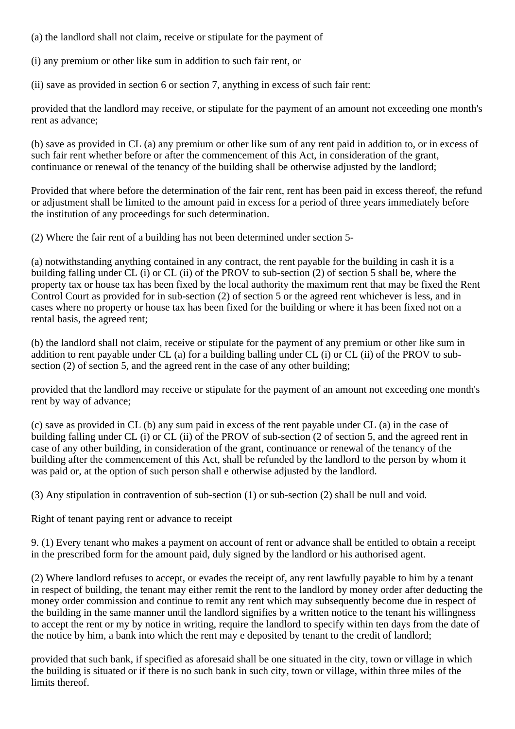(a) the landlord shall not claim, receive or stipulate for the payment of

(i) any premium or other like sum in addition to such fair rent, or

(ii) save as provided in section 6 or section 7, anything in excess of such fair rent:

provided that the landlord may receive, or stipulate for the payment of an amount not exceeding one month's rent as advance;

(b) save as provided in CL (a) any premium or other like sum of any rent paid in addition to, or in excess of such fair rent whether before or after the commencement of this Act, in consideration of the grant, continuance or renewal of the tenancy of the building shall be otherwise adjusted by the landlord;

Provided that where before the determination of the fair rent, rent has been paid in excess thereof, the refund or adjustment shall be limited to the amount paid in excess for a period of three years immediately before the institution of any proceedings for such determination.

(2) Where the fair rent of a building has not been determined under section 5-

(a) notwithstanding anything contained in any contract, the rent payable for the building in cash it is a building falling under CL (i) or CL (ii) of the PROV to sub-section (2) of section 5 shall be, where the property tax or house tax has been fixed by the local authority the maximum rent that may be fixed the Rent Control Court as provided for in sub-section (2) of section 5 or the agreed rent whichever is less, and in cases where no property or house tax has been fixed for the building or where it has been fixed not on a rental basis, the agreed rent;

(b) the landlord shall not claim, receive or stipulate for the payment of any premium or other like sum in addition to rent payable under CL (a) for a building balling under CL (i) or CL (ii) of the PROV to subsection (2) of section 5, and the agreed rent in the case of any other building;

provided that the landlord may receive or stipulate for the payment of an amount not exceeding one month's rent by way of advance;

(c) save as provided in CL (b) any sum paid in excess of the rent payable under CL (a) in the case of building falling under CL (i) or CL (ii) of the PROV of sub-section (2 of section 5, and the agreed rent in case of any other building, in consideration of the grant, continuance or renewal of the tenancy of the building after the commencement of this Act, shall be refunded by the landlord to the person by whom it was paid or, at the option of such person shall e otherwise adjusted by the landlord.

(3) Any stipulation in contravention of sub-section (1) or sub-section (2) shall be null and void.

Right of tenant paying rent or advance to receipt

9. (1) Every tenant who makes a payment on account of rent or advance shall be entitled to obtain a receipt in the prescribed form for the amount paid, duly signed by the landlord or his authorised agent.

(2) Where landlord refuses to accept, or evades the receipt of, any rent lawfully payable to him by a tenant in respect of building, the tenant may either remit the rent to the landlord by money order after deducting the money order commission and continue to remit any rent which may subsequently become due in respect of the building in the same manner until the landlord signifies by a written notice to the tenant his willingness to accept the rent or my by notice in writing, require the landlord to specify within ten days from the date of the notice by him, a bank into which the rent may e deposited by tenant to the credit of landlord;

provided that such bank, if specified as aforesaid shall be one situated in the city, town or village in which the building is situated or if there is no such bank in such city, town or village, within three miles of the limits thereof.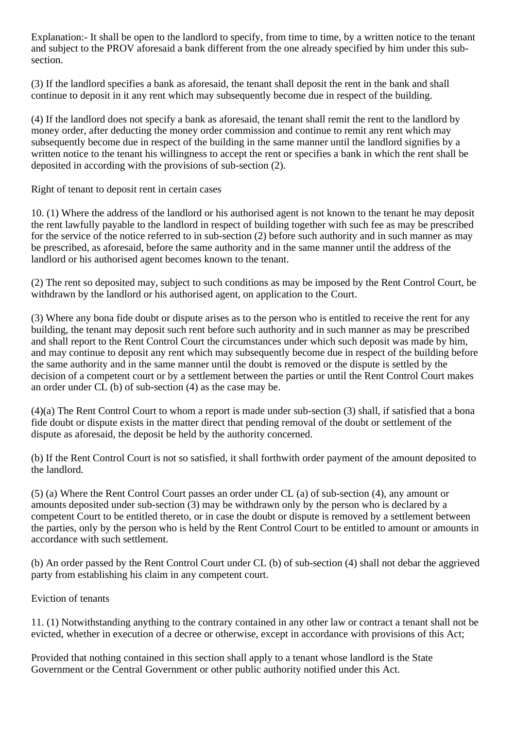Explanation:- It shall be open to the landlord to specify, from time to time, by a written notice to the tenant and subject to the PROV aforesaid a bank different from the one already specified by him under this subsection.

(3) If the landlord specifies a bank as aforesaid, the tenant shall deposit the rent in the bank and shall continue to deposit in it any rent which may subsequently become due in respect of the building.

(4) If the landlord does not specify a bank as aforesaid, the tenant shall remit the rent to the landlord by money order, after deducting the money order commission and continue to remit any rent which may subsequently become due in respect of the building in the same manner until the landlord signifies by a written notice to the tenant his willingness to accept the rent or specifies a bank in which the rent shall be deposited in according with the provisions of sub-section (2).

Right of tenant to deposit rent in certain cases

10. (1) Where the address of the landlord or his authorised agent is not known to the tenant he may deposit the rent lawfully payable to the landlord in respect of building together with such fee as may be prescribed for the service of the notice referred to in sub-section (2) before such authority and in such manner as may be prescribed, as aforesaid, before the same authority and in the same manner until the address of the landlord or his authorised agent becomes known to the tenant.

(2) The rent so deposited may, subject to such conditions as may be imposed by the Rent Control Court, be withdrawn by the landlord or his authorised agent, on application to the Court.

(3) Where any bona fide doubt or dispute arises as to the person who is entitled to receive the rent for any building, the tenant may deposit such rent before such authority and in such manner as may be prescribed and shall report to the Rent Control Court the circumstances under which such deposit was made by him, and may continue to deposit any rent which may subsequently become due in respect of the building before the same authority and in the same manner until the doubt is removed or the dispute is settled by the decision of a competent court or by a settlement between the parties or until the Rent Control Court makes an order under CL (b) of sub-section (4) as the case may be.

(4)(a) The Rent Control Court to whom a report is made under sub-section (3) shall, if satisfied that a bona fide doubt or dispute exists in the matter direct that pending removal of the doubt or settlement of the dispute as aforesaid, the deposit be held by the authority concerned.

(b) If the Rent Control Court is not so satisfied, it shall forthwith order payment of the amount deposited to the landlord.

(5) (a) Where the Rent Control Court passes an order under CL (a) of sub-section (4), any amount or amounts deposited under sub-section (3) may be withdrawn only by the person who is declared by a competent Court to be entitled thereto, or in case the doubt or dispute is removed by a settlement between the parties, only by the person who is held by the Rent Control Court to be entitled to amount or amounts in accordance with such settlement.

(b) An order passed by the Rent Control Court under CL (b) of sub-section (4) shall not debar the aggrieved party from establishing his claim in any competent court.

## Eviction of tenants

11. (1) Notwithstanding anything to the contrary contained in any other law or contract a tenant shall not be evicted, whether in execution of a decree or otherwise, except in accordance with provisions of this Act;

Provided that nothing contained in this section shall apply to a tenant whose landlord is the State Government or the Central Government or other public authority notified under this Act.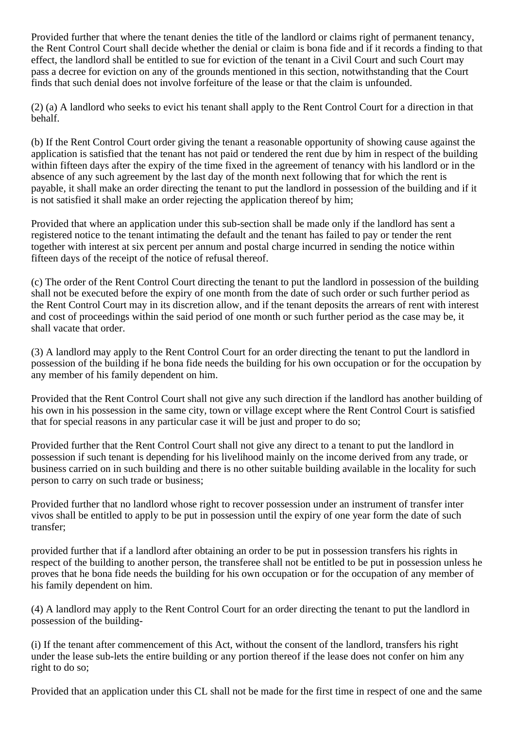Provided further that where the tenant denies the title of the landlord or claims right of permanent tenancy, the Rent Control Court shall decide whether the denial or claim is bona fide and if it records a finding to that effect, the landlord shall be entitled to sue for eviction of the tenant in a Civil Court and such Court may pass a decree for eviction on any of the grounds mentioned in this section, notwithstanding that the Court finds that such denial does not involve forfeiture of the lease or that the claim is unfounded.

(2) (a) A landlord who seeks to evict his tenant shall apply to the Rent Control Court for a direction in that behalf.

(b) If the Rent Control Court order giving the tenant a reasonable opportunity of showing cause against the application is satisfied that the tenant has not paid or tendered the rent due by him in respect of the building within fifteen days after the expiry of the time fixed in the agreement of tenancy with his landlord or in the absence of any such agreement by the last day of the month next following that for which the rent is payable, it shall make an order directing the tenant to put the landlord in possession of the building and if it is not satisfied it shall make an order rejecting the application thereof by him;

Provided that where an application under this sub-section shall be made only if the landlord has sent a registered notice to the tenant intimating the default and the tenant has failed to pay or tender the rent together with interest at six percent per annum and postal charge incurred in sending the notice within fifteen days of the receipt of the notice of refusal thereof.

(c) The order of the Rent Control Court directing the tenant to put the landlord in possession of the building shall not be executed before the expiry of one month from the date of such order or such further period as the Rent Control Court may in its discretion allow, and if the tenant deposits the arrears of rent with interest and cost of proceedings within the said period of one month or such further period as the case may be, it shall vacate that order.

(3) A landlord may apply to the Rent Control Court for an order directing the tenant to put the landlord in possession of the building if he bona fide needs the building for his own occupation or for the occupation by any member of his family dependent on him.

Provided that the Rent Control Court shall not give any such direction if the landlord has another building of his own in his possession in the same city, town or village except where the Rent Control Court is satisfied that for special reasons in any particular case it will be just and proper to do so;

Provided further that the Rent Control Court shall not give any direct to a tenant to put the landlord in possession if such tenant is depending for his livelihood mainly on the income derived from any trade, or business carried on in such building and there is no other suitable building available in the locality for such person to carry on such trade or business;

Provided further that no landlord whose right to recover possession under an instrument of transfer inter vivos shall be entitled to apply to be put in possession until the expiry of one year form the date of such transfer;

provided further that if a landlord after obtaining an order to be put in possession transfers his rights in respect of the building to another person, the transferee shall not be entitled to be put in possession unless he proves that he bona fide needs the building for his own occupation or for the occupation of any member of his family dependent on him.

(4) A landlord may apply to the Rent Control Court for an order directing the tenant to put the landlord in possession of the building-

(i) If the tenant after commencement of this Act, without the consent of the landlord, transfers his right under the lease sub-lets the entire building or any portion thereof if the lease does not confer on him any right to do so;

Provided that an application under this CL shall not be made for the first time in respect of one and the same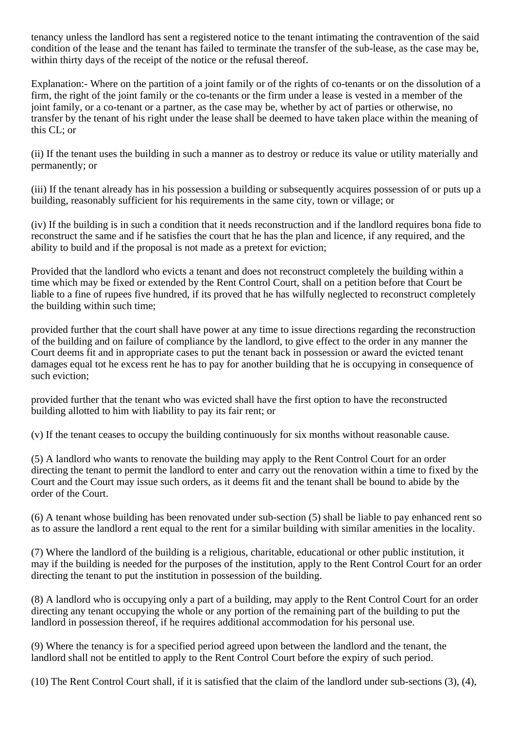tenancy unless the landlord has sent a registered notice to the tenant intimating the contravention of the said condition of the lease and the tenant has failed to terminate the transfer of the sub-lease, as the case may be, within thirty days of the receipt of the notice or the refusal thereof.

Explanation:- Where on the partition of a joint family or of the rights of co-tenants or on the dissolution of a firm, the right of the joint family or the co-tenants or the firm under a lease is vested in a member of the joint family, or a co-tenant or a partner, as the case may be, whether by act of parties or otherwise, no transfer by the tenant of his right under the lease shall be deemed to have taken place within the meaning of this CL; or

(ii) If the tenant uses the building in such a manner as to destroy or reduce its value or utility materially and permanently; or

(iii) If the tenant already has in his possession a building or subsequently acquires possession of or puts up a building, reasonably sufficient for his requirements in the same city, town or village; or

(iv) If the building is in such a condition that it needs reconstruction and if the landlord requires bona fide to reconstruct the same and if he satisfies the court that he has the plan and licence, if any required, and the ability to build and if the proposal is not made as a pretext for eviction;

Provided that the landlord who evicts a tenant and does not reconstruct completely the building within a time which may be fixed or extended by the Rent Control Court, shall on a petition before that Court be liable to a fine of rupees five hundred, if its proved that he has wilfully neglected to reconstruct completely the building within such time;

provided further that the court shall have power at any time to issue directions regarding the reconstruction of the building and on failure of compliance by the landlord, to give effect to the order in any manner the Court deems fit and in appropriate cases to put the tenant back in possession or award the evicted tenant damages equal tot he excess rent he has to pay for another building that he is occupying in consequence of such eviction;

provided further that the tenant who was evicted shall have the first option to have the reconstructed building allotted to him with liability to pay its fair rent; or

(v) If the tenant ceases to occupy the building continuously for six months without reasonable cause.

(5) A landlord who wants to renovate the building may apply to the Rent Control Court for an order directing the tenant to permit the landlord to enter and carry out the renovation within a time to fixed by the Court and the Court may issue such orders, as it deems fit and the tenant shall be bound to abide by the order of the Court.

(6) A tenant whose building has been renovated under sub-section (5) shall be liable to pay enhanced rent so as to assure the landlord a rent equal to the rent for a similar building with similar amenities in the locality.

(7) Where the landlord of the building is a religious, charitable, educational or other public institution, it may if the building is needed for the purposes of the institution, apply to the Rent Control Court for an order directing the tenant to put the institution in possession of the building.

(8) A landlord who is occupying only a part of a building, may apply to the Rent Control Court for an order directing any tenant occupying the whole or any portion of the remaining part of the building to put the landlord in possession thereof, if he requires additional accommodation for his personal use.

(9) Where the tenancy is for a specified period agreed upon between the landlord and the tenant, the landlord shall not be entitled to apply to the Rent Control Court before the expiry of such period.

(10) The Rent Control Court shall, if it is satisfied that the claim of the landlord under sub-sections (3), (4),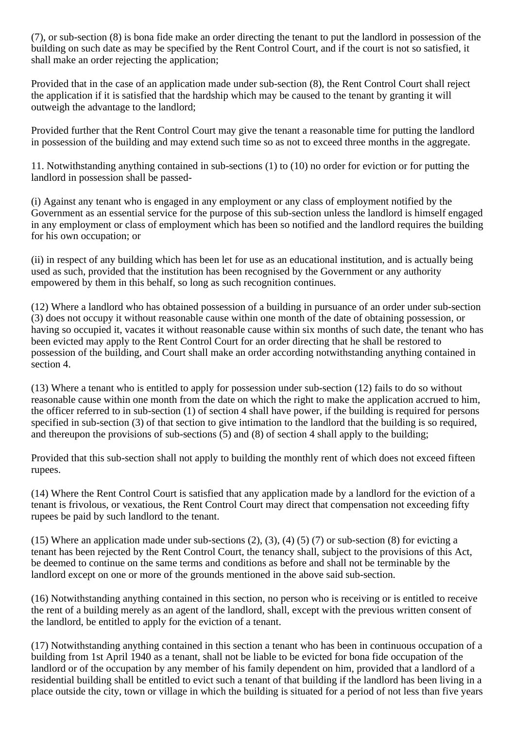(7), or sub-section (8) is bona fide make an order directing the tenant to put the landlord in possession of the building on such date as may be specified by the Rent Control Court, and if the court is not so satisfied, it shall make an order rejecting the application;

Provided that in the case of an application made under sub-section (8), the Rent Control Court shall reject the application if it is satisfied that the hardship which may be caused to the tenant by granting it will outweigh the advantage to the landlord;

Provided further that the Rent Control Court may give the tenant a reasonable time for putting the landlord in possession of the building and may extend such time so as not to exceed three months in the aggregate.

11. Notwithstanding anything contained in sub-sections (1) to (10) no order for eviction or for putting the landlord in possession shall be passed-

(i) Against any tenant who is engaged in any employment or any class of employment notified by the Government as an essential service for the purpose of this sub-section unless the landlord is himself engaged in any employment or class of employment which has been so notified and the landlord requires the building for his own occupation; or

(ii) in respect of any building which has been let for use as an educational institution, and is actually being used as such, provided that the institution has been recognised by the Government or any authority empowered by them in this behalf, so long as such recognition continues.

(12) Where a landlord who has obtained possession of a building in pursuance of an order under sub-section (3) does not occupy it without reasonable cause within one month of the date of obtaining possession, or having so occupied it, vacates it without reasonable cause within six months of such date, the tenant who has been evicted may apply to the Rent Control Court for an order directing that he shall be restored to possession of the building, and Court shall make an order according notwithstanding anything contained in section 4.

(13) Where a tenant who is entitled to apply for possession under sub-section (12) fails to do so without reasonable cause within one month from the date on which the right to make the application accrued to him, the officer referred to in sub-section (1) of section 4 shall have power, if the building is required for persons specified in sub-section (3) of that section to give intimation to the landlord that the building is so required, and thereupon the provisions of sub-sections (5) and (8) of section 4 shall apply to the building;

Provided that this sub-section shall not apply to building the monthly rent of which does not exceed fifteen rupees.

(14) Where the Rent Control Court is satisfied that any application made by a landlord for the eviction of a tenant is frivolous, or vexatious, the Rent Control Court may direct that compensation not exceeding fifty rupees be paid by such landlord to the tenant.

(15) Where an application made under sub-sections  $(2)$ ,  $(3)$ ,  $(4)$   $(5)$   $(7)$  or sub-section  $(8)$  for evicting a tenant has been rejected by the Rent Control Court, the tenancy shall, subject to the provisions of this Act, be deemed to continue on the same terms and conditions as before and shall not be terminable by the landlord except on one or more of the grounds mentioned in the above said sub-section.

(16) Notwithstanding anything contained in this section, no person who is receiving or is entitled to receive the rent of a building merely as an agent of the landlord, shall, except with the previous written consent of the landlord, be entitled to apply for the eviction of a tenant.

(17) Notwithstanding anything contained in this section a tenant who has been in continuous occupation of a building from 1st April 1940 as a tenant, shall not be liable to be evicted for bona fide occupation of the landlord or of the occupation by any member of his family dependent on him, provided that a landlord of a residential building shall be entitled to evict such a tenant of that building if the landlord has been living in a place outside the city, town or village in which the building is situated for a period of not less than five years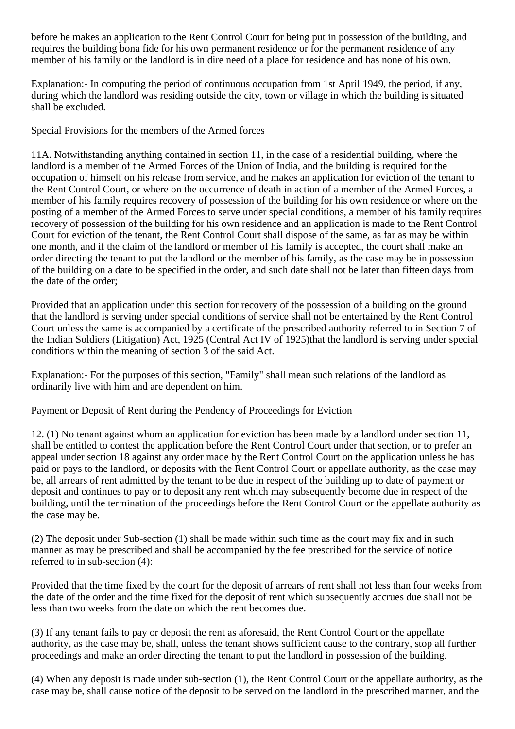before he makes an application to the Rent Control Court for being put in possession of the building, and requires the building bona fide for his own permanent residence or for the permanent residence of any member of his family or the landlord is in dire need of a place for residence and has none of his own.

Explanation:- In computing the period of continuous occupation from 1st April 1949, the period, if any, during which the landlord was residing outside the city, town or village in which the building is situated shall be excluded.

Special Provisions for the members of the Armed forces

11A. Notwithstanding anything contained in section 11, in the case of a residential building, where the landlord is a member of the Armed Forces of the Union of India, and the building is required for the occupation of himself on his release from service, and he makes an application for eviction of the tenant to the Rent Control Court, or where on the occurrence of death in action of a member of the Armed Forces, a member of his family requires recovery of possession of the building for his own residence or where on the posting of a member of the Armed Forces to serve under special conditions, a member of his family requires recovery of possession of the building for his own residence and an application is made to the Rent Control Court for eviction of the tenant, the Rent Control Court shall dispose of the same, as far as may be within one month, and if the claim of the landlord or member of his family is accepted, the court shall make an order directing the tenant to put the landlord or the member of his family, as the case may be in possession of the building on a date to be specified in the order, and such date shall not be later than fifteen days from the date of the order;

Provided that an application under this section for recovery of the possession of a building on the ground that the landlord is serving under special conditions of service shall not be entertained by the Rent Control Court unless the same is accompanied by a certificate of the prescribed authority referred to in Section 7 of the Indian Soldiers (Litigation) Act, 1925 (Central Act IV of 1925)that the landlord is serving under special conditions within the meaning of section 3 of the said Act.

Explanation:- For the purposes of this section, "Family" shall mean such relations of the landlord as ordinarily live with him and are dependent on him.

Payment or Deposit of Rent during the Pendency of Proceedings for Eviction

12. (1) No tenant against whom an application for eviction has been made by a landlord under section 11, shall be entitled to contest the application before the Rent Control Court under that section, or to prefer an appeal under section 18 against any order made by the Rent Control Court on the application unless he has paid or pays to the landlord, or deposits with the Rent Control Court or appellate authority, as the case may be, all arrears of rent admitted by the tenant to be due in respect of the building up to date of payment or deposit and continues to pay or to deposit any rent which may subsequently become due in respect of the building, until the termination of the proceedings before the Rent Control Court or the appellate authority as the case may be.

(2) The deposit under Sub-section (1) shall be made within such time as the court may fix and in such manner as may be prescribed and shall be accompanied by the fee prescribed for the service of notice referred to in sub-section (4):

Provided that the time fixed by the court for the deposit of arrears of rent shall not less than four weeks from the date of the order and the time fixed for the deposit of rent which subsequently accrues due shall not be less than two weeks from the date on which the rent becomes due.

(3) If any tenant fails to pay or deposit the rent as aforesaid, the Rent Control Court or the appellate authority, as the case may be, shall, unless the tenant shows sufficient cause to the contrary, stop all further proceedings and make an order directing the tenant to put the landlord in possession of the building.

(4) When any deposit is made under sub-section (1), the Rent Control Court or the appellate authority, as the case may be, shall cause notice of the deposit to be served on the landlord in the prescribed manner, and the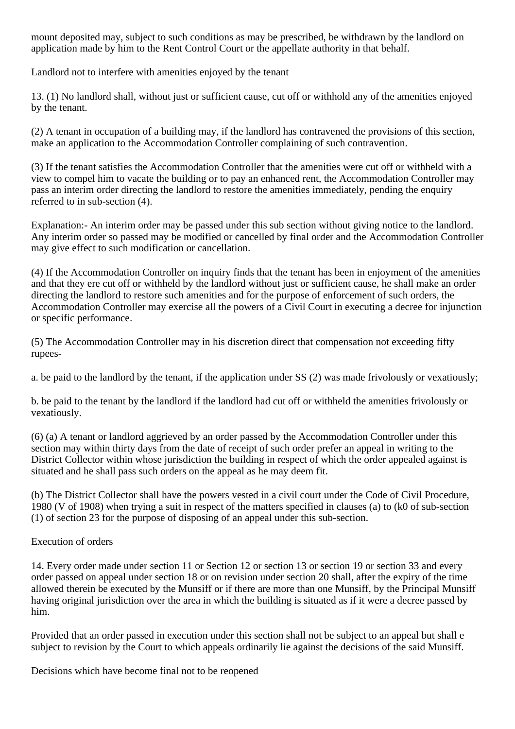mount deposited may, subject to such conditions as may be prescribed, be withdrawn by the landlord on application made by him to the Rent Control Court or the appellate authority in that behalf.

Landlord not to interfere with amenities enjoyed by the tenant

13. (1) No landlord shall, without just or sufficient cause, cut off or withhold any of the amenities enjoyed by the tenant.

(2) A tenant in occupation of a building may, if the landlord has contravened the provisions of this section, make an application to the Accommodation Controller complaining of such contravention.

(3) If the tenant satisfies the Accommodation Controller that the amenities were cut off or withheld with a view to compel him to vacate the building or to pay an enhanced rent, the Accommodation Controller may pass an interim order directing the landlord to restore the amenities immediately, pending the enquiry referred to in sub-section (4).

Explanation:- An interim order may be passed under this sub section without giving notice to the landlord. Any interim order so passed may be modified or cancelled by final order and the Accommodation Controller may give effect to such modification or cancellation.

(4) If the Accommodation Controller on inquiry finds that the tenant has been in enjoyment of the amenities and that they ere cut off or withheld by the landlord without just or sufficient cause, he shall make an order directing the landlord to restore such amenities and for the purpose of enforcement of such orders, the Accommodation Controller may exercise all the powers of a Civil Court in executing a decree for injunction or specific performance.

(5) The Accommodation Controller may in his discretion direct that compensation not exceeding fifty rupees-

a. be paid to the landlord by the tenant, if the application under SS (2) was made frivolously or vexatiously;

b. be paid to the tenant by the landlord if the landlord had cut off or withheld the amenities frivolously or vexatiously.

(6) (a) A tenant or landlord aggrieved by an order passed by the Accommodation Controller under this section may within thirty days from the date of receipt of such order prefer an appeal in writing to the District Collector within whose jurisdiction the building in respect of which the order appealed against is situated and he shall pass such orders on the appeal as he may deem fit.

(b) The District Collector shall have the powers vested in a civil court under the Code of Civil Procedure, 1980 (V of 1908) when trying a suit in respect of the matters specified in clauses (a) to (k0 of sub-section (1) of section 23 for the purpose of disposing of an appeal under this sub-section.

## Execution of orders

14. Every order made under section 11 or Section 12 or section 13 or section 19 or section 33 and every order passed on appeal under section 18 or on revision under section 20 shall, after the expiry of the time allowed therein be executed by the Munsiff or if there are more than one Munsiff, by the Principal Munsiff having original jurisdiction over the area in which the building is situated as if it were a decree passed by him.

Provided that an order passed in execution under this section shall not be subject to an appeal but shall e subject to revision by the Court to which appeals ordinarily lie against the decisions of the said Munsiff.

Decisions which have become final not to be reopened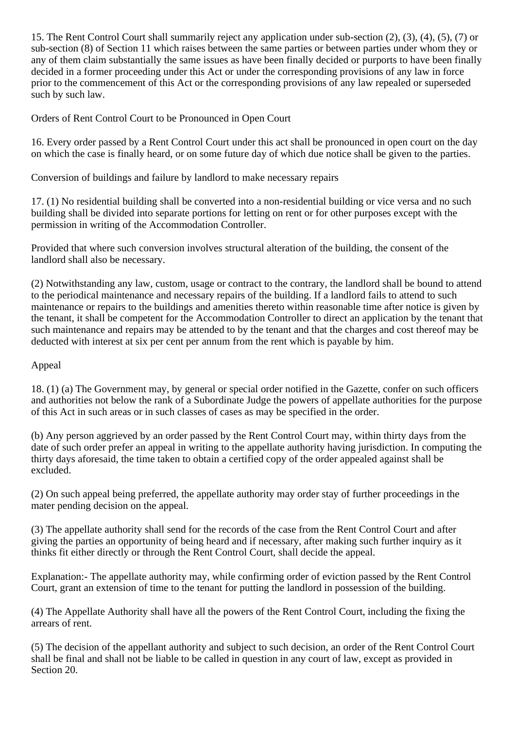15. The Rent Control Court shall summarily reject any application under sub-section (2), (3), (4), (5), (7) or sub-section (8) of Section 11 which raises between the same parties or between parties under whom they or any of them claim substantially the same issues as have been finally decided or purports to have been finally decided in a former proceeding under this Act or under the corresponding provisions of any law in force prior to the commencement of this Act or the corresponding provisions of any law repealed or superseded such by such law.

Orders of Rent Control Court to be Pronounced in Open Court

16. Every order passed by a Rent Control Court under this act shall be pronounced in open court on the day on which the case is finally heard, or on some future day of which due notice shall be given to the parties.

Conversion of buildings and failure by landlord to make necessary repairs

17. (1) No residential building shall be converted into a non-residential building or vice versa and no such building shall be divided into separate portions for letting on rent or for other purposes except with the permission in writing of the Accommodation Controller.

Provided that where such conversion involves structural alteration of the building, the consent of the landlord shall also be necessary.

(2) Notwithstanding any law, custom, usage or contract to the contrary, the landlord shall be bound to attend to the periodical maintenance and necessary repairs of the building. If a landlord fails to attend to such maintenance or repairs to the buildings and amenities thereto within reasonable time after notice is given by the tenant, it shall be competent for the Accommodation Controller to direct an application by the tenant that such maintenance and repairs may be attended to by the tenant and that the charges and cost thereof may be deducted with interest at six per cent per annum from the rent which is payable by him.

## Appeal

18. (1) (a) The Government may, by general or special order notified in the Gazette, confer on such officers and authorities not below the rank of a Subordinate Judge the powers of appellate authorities for the purpose of this Act in such areas or in such classes of cases as may be specified in the order.

(b) Any person aggrieved by an order passed by the Rent Control Court may, within thirty days from the date of such order prefer an appeal in writing to the appellate authority having jurisdiction. In computing the thirty days aforesaid, the time taken to obtain a certified copy of the order appealed against shall be excluded.

(2) On such appeal being preferred, the appellate authority may order stay of further proceedings in the mater pending decision on the appeal.

(3) The appellate authority shall send for the records of the case from the Rent Control Court and after giving the parties an opportunity of being heard and if necessary, after making such further inquiry as it thinks fit either directly or through the Rent Control Court, shall decide the appeal.

Explanation:- The appellate authority may, while confirming order of eviction passed by the Rent Control Court, grant an extension of time to the tenant for putting the landlord in possession of the building.

(4) The Appellate Authority shall have all the powers of the Rent Control Court, including the fixing the arrears of rent.

(5) The decision of the appellant authority and subject to such decision, an order of the Rent Control Court shall be final and shall not be liable to be called in question in any court of law, except as provided in Section 20.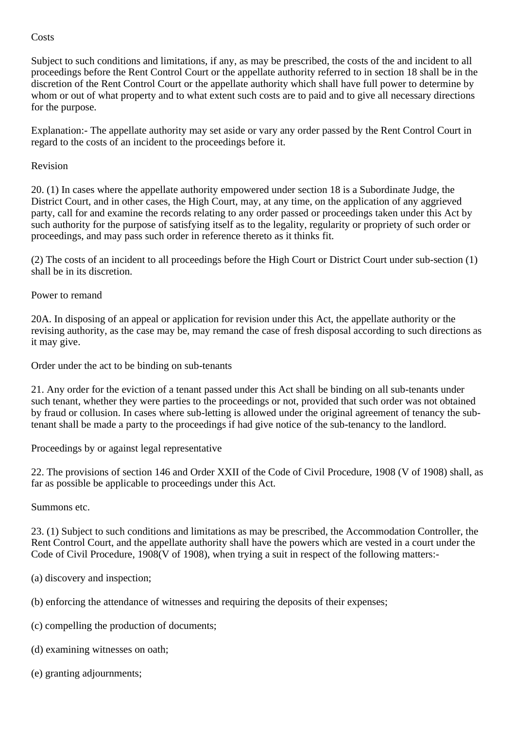#### **Costs**

Subject to such conditions and limitations, if any, as may be prescribed, the costs of the and incident to all proceedings before the Rent Control Court or the appellate authority referred to in section 18 shall be in the discretion of the Rent Control Court or the appellate authority which shall have full power to determine by whom or out of what property and to what extent such costs are to paid and to give all necessary directions for the purpose.

Explanation:- The appellate authority may set aside or vary any order passed by the Rent Control Court in regard to the costs of an incident to the proceedings before it.

#### Revision

20. (1) In cases where the appellate authority empowered under section 18 is a Subordinate Judge, the District Court, and in other cases, the High Court, may, at any time, on the application of any aggrieved party, call for and examine the records relating to any order passed or proceedings taken under this Act by such authority for the purpose of satisfying itself as to the legality, regularity or propriety of such order or proceedings, and may pass such order in reference thereto as it thinks fit.

(2) The costs of an incident to all proceedings before the High Court or District Court under sub-section (1) shall be in its discretion.

#### Power to remand

20A. In disposing of an appeal or application for revision under this Act, the appellate authority or the revising authority, as the case may be, may remand the case of fresh disposal according to such directions as it may give.

Order under the act to be binding on sub-tenants

21. Any order for the eviction of a tenant passed under this Act shall be binding on all sub-tenants under such tenant, whether they were parties to the proceedings or not, provided that such order was not obtained by fraud or collusion. In cases where sub-letting is allowed under the original agreement of tenancy the subtenant shall be made a party to the proceedings if had give notice of the sub-tenancy to the landlord.

Proceedings by or against legal representative

22. The provisions of section 146 and Order XXII of the Code of Civil Procedure, 1908 (V of 1908) shall, as far as possible be applicable to proceedings under this Act.

Summons etc.

23. (1) Subject to such conditions and limitations as may be prescribed, the Accommodation Controller, the Rent Control Court, and the appellate authority shall have the powers which are vested in a court under the Code of Civil Procedure, 1908(V of 1908), when trying a suit in respect of the following matters:-

- (a) discovery and inspection;
- (b) enforcing the attendance of witnesses and requiring the deposits of their expenses;
- (c) compelling the production of documents;
- (d) examining witnesses on oath;
- (e) granting adjournments;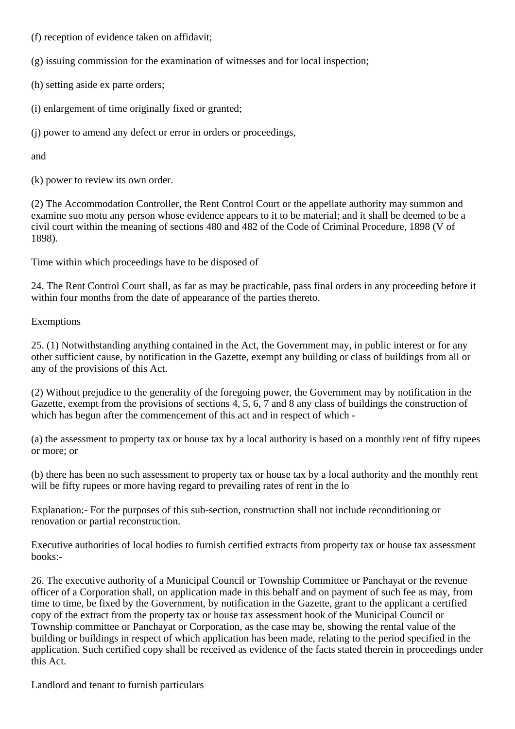(f) reception of evidence taken on affidavit;

(g) issuing commission for the examination of witnesses and for local inspection;

(h) setting aside ex parte orders;

(i) enlargement of time originally fixed or granted;

(j) power to amend any defect or error in orders or proceedings,

and

(k) power to review its own order.

(2) The Accommodation Controller, the Rent Control Court or the appellate authority may summon and examine suo motu any person whose evidence appears to it to be material; and it shall be deemed to be a civil court within the meaning of sections 480 and 482 of the Code of Criminal Procedure, 1898 (V of 1898).

Time within which proceedings have to be disposed of

24. The Rent Control Court shall, as far as may be practicable, pass final orders in any proceeding before it within four months from the date of appearance of the parties thereto.

Exemptions

25. (1) Notwithstanding anything contained in the Act, the Government may, in public interest or for any other sufficient cause, by notification in the Gazette, exempt any building or class of buildings from all or any of the provisions of this Act.

(2) Without prejudice to the generality of the foregoing power, the Government may by notification in the Gazette, exempt from the provisions of sections 4, 5, 6, 7 and 8 any class of buildings the construction of which has begun after the commencement of this act and in respect of which -

(a) the assessment to property tax or house tax by a local authority is based on a monthly rent of fifty rupees or more; or

(b) there has been no such assessment to property tax or house tax by a local authority and the monthly rent will be fifty rupees or more having regard to prevailing rates of rent in the lo

Explanation:- For the purposes of this sub-section, construction shall not include reconditioning or renovation or partial reconstruction.

Executive authorities of local bodies to furnish certified extracts from property tax or house tax assessment books:-

26. The executive authority of a Municipal Council or Township Committee or Panchayat or the revenue officer of a Corporation shall, on application made in this behalf and on payment of such fee as may, from time to time, be fixed by the Government, by notification in the Gazette, grant to the applicant a certified copy of the extract from the property tax or house tax assessment book of the Municipal Council or Township committee or Panchayat or Corporation, as the case may be, showing the rental value of the building or buildings in respect of which application has been made, relating to the period specified in the application. Such certified copy shall be received as evidence of the facts stated therein in proceedings under this Act.

Landlord and tenant to furnish particulars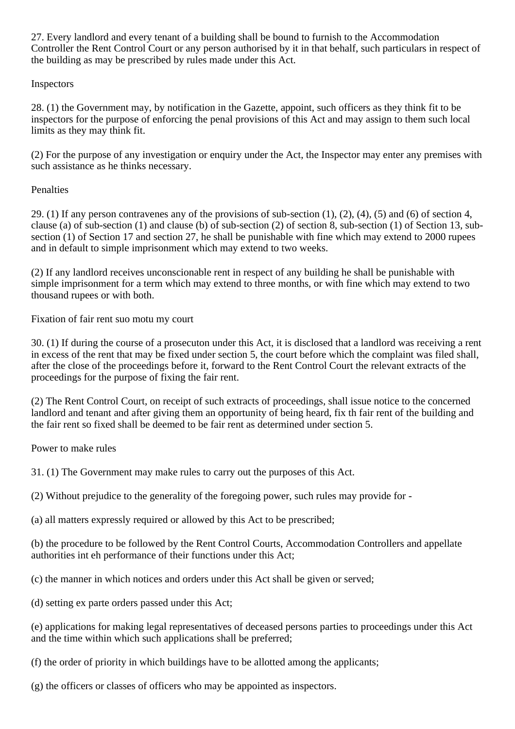27. Every landlord and every tenant of a building shall be bound to furnish to the Accommodation Controller the Rent Control Court or any person authorised by it in that behalf, such particulars in respect of the building as may be prescribed by rules made under this Act.

# Inspectors

28. (1) the Government may, by notification in the Gazette, appoint, such officers as they think fit to be inspectors for the purpose of enforcing the penal provisions of this Act and may assign to them such local limits as they may think fit.

(2) For the purpose of any investigation or enquiry under the Act, the Inspector may enter any premises with such assistance as he thinks necessary.

## **Penalties**

29. (1) If any person contravenes any of the provisions of sub-section  $(1)$ ,  $(2)$ ,  $(4)$ ,  $(5)$  and  $(6)$  of section 4, clause (a) of sub-section (1) and clause (b) of sub-section (2) of section 8, sub-section (1) of Section 13, subsection (1) of Section 17 and section 27, he shall be punishable with fine which may extend to 2000 rupees and in default to simple imprisonment which may extend to two weeks.

(2) If any landlord receives unconscionable rent in respect of any building he shall be punishable with simple imprisonment for a term which may extend to three months, or with fine which may extend to two thousand rupees or with both.

Fixation of fair rent suo motu my court

30. (1) If during the course of a prosecuton under this Act, it is disclosed that a landlord was receiving a rent in excess of the rent that may be fixed under section 5, the court before which the complaint was filed shall, after the close of the proceedings before it, forward to the Rent Control Court the relevant extracts of the proceedings for the purpose of fixing the fair rent.

(2) The Rent Control Court, on receipt of such extracts of proceedings, shall issue notice to the concerned landlord and tenant and after giving them an opportunity of being heard, fix th fair rent of the building and the fair rent so fixed shall be deemed to be fair rent as determined under section 5.

Power to make rules

31. (1) The Government may make rules to carry out the purposes of this Act.

(2) Without prejudice to the generality of the foregoing power, such rules may provide for -

(a) all matters expressly required or allowed by this Act to be prescribed;

(b) the procedure to be followed by the Rent Control Courts, Accommodation Controllers and appellate authorities int eh performance of their functions under this Act;

(c) the manner in which notices and orders under this Act shall be given or served;

(d) setting ex parte orders passed under this Act;

(e) applications for making legal representatives of deceased persons parties to proceedings under this Act and the time within which such applications shall be preferred;

(f) the order of priority in which buildings have to be allotted among the applicants;

(g) the officers or classes of officers who may be appointed as inspectors.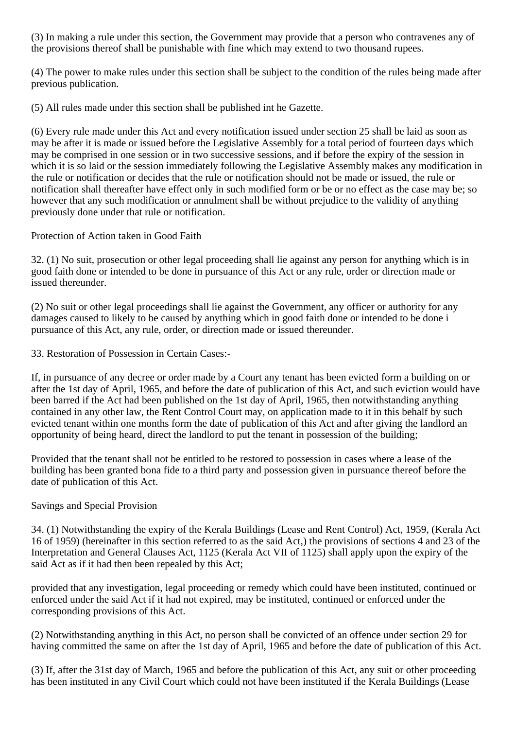(3) In making a rule under this section, the Government may provide that a person who contravenes any of the provisions thereof shall be punishable with fine which may extend to two thousand rupees.

(4) The power to make rules under this section shall be subject to the condition of the rules being made after previous publication.

(5) All rules made under this section shall be published int he Gazette.

(6) Every rule made under this Act and every notification issued under section 25 shall be laid as soon as may be after it is made or issued before the Legislative Assembly for a total period of fourteen days which may be comprised in one session or in two successive sessions, and if before the expiry of the session in which it is so laid or the session immediately following the Legislative Assembly makes any modification in the rule or notification or decides that the rule or notification should not be made or issued, the rule or notification shall thereafter have effect only in such modified form or be or no effect as the case may be; so however that any such modification or annulment shall be without prejudice to the validity of anything previously done under that rule or notification.

Protection of Action taken in Good Faith

32. (1) No suit, prosecution or other legal proceeding shall lie against any person for anything which is in good faith done or intended to be done in pursuance of this Act or any rule, order or direction made or issued thereunder.

(2) No suit or other legal proceedings shall lie against the Government, any officer or authority for any damages caused to likely to be caused by anything which in good faith done or intended to be done i pursuance of this Act, any rule, order, or direction made or issued thereunder.

33. Restoration of Possession in Certain Cases:-

If, in pursuance of any decree or order made by a Court any tenant has been evicted form a building on or after the 1st day of April, 1965, and before the date of publication of this Act, and such eviction would have been barred if the Act had been published on the 1st day of April, 1965, then notwithstanding anything contained in any other law, the Rent Control Court may, on application made to it in this behalf by such evicted tenant within one months form the date of publication of this Act and after giving the landlord an opportunity of being heard, direct the landlord to put the tenant in possession of the building;

Provided that the tenant shall not be entitled to be restored to possession in cases where a lease of the building has been granted bona fide to a third party and possession given in pursuance thereof before the date of publication of this Act.

## Savings and Special Provision

34. (1) Notwithstanding the expiry of the Kerala Buildings (Lease and Rent Control) Act, 1959, (Kerala Act 16 of 1959) (hereinafter in this section referred to as the said Act,) the provisions of sections 4 and 23 of the Interpretation and General Clauses Act, 1125 (Kerala Act VII of 1125) shall apply upon the expiry of the said Act as if it had then been repealed by this Act;

provided that any investigation, legal proceeding or remedy which could have been instituted, continued or enforced under the said Act if it had not expired, may be instituted, continued or enforced under the corresponding provisions of this Act.

(2) Notwithstanding anything in this Act, no person shall be convicted of an offence under section 29 for having committed the same on after the 1st day of April, 1965 and before the date of publication of this Act.

(3) If, after the 31st day of March, 1965 and before the publication of this Act, any suit or other proceeding has been instituted in any Civil Court which could not have been instituted if the Kerala Buildings (Lease